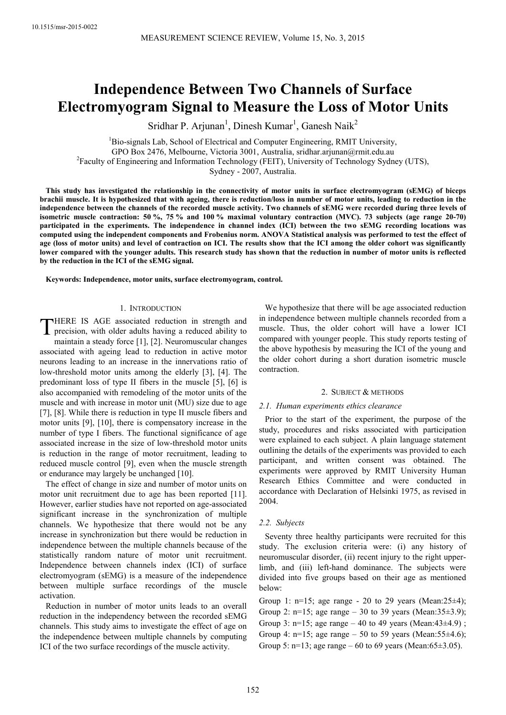# **Independence Between Two Channels of Surface Electromyogram Signal to Measure the Loss of Motor Units**

Sridhar P. Arjunan<sup>1</sup>, Dinesh Kumar<sup>1</sup>, Ganesh Naik<sup>2</sup>

 ${}^{1}$ Bio-signals Lab, School of Electrical and Computer Engineering, RMIT University, GPO Box 2476, Melbourne, Victoria 3001, Australia, sridhar.arjunan@rmit.edu.au <sup>2</sup> Faculty of Engineering and Information Technology (FEIT), University of Technology Sydney (UTS), Sydney - 2007, Australia.

**This study has investigated the relationship in the connectivity of motor units in surface electromyogram (sEMG) of biceps brachii muscle. It is hypothesized that with ageing, there is reduction/loss in number of motor units, leading to reduction in the independence between the channels of the recorded muscle activity. Two channels of sEMG were recorded during three levels of isometric muscle contraction: 50 %, 75 % and 100 % maximal voluntary contraction (MVC). 73 subjects (age range 20-70) participated in the experiments. The independence in channel index (ICI) between the two sEMG recording locations was computed using the independent components and Frobenius norm. ANOVA Statistical analysis was performed to test the effect of age (loss of motor units) and level of contraction on ICI. The results show that the ICI among the older cohort was significantly lower compared with the younger adults. This research study has shown that the reduction in number of motor units is reflected by the reduction in the ICI of the sEMG signal.** 

**Keywords: Independence, motor units, surface electromyogram, control.** 

# 1. INTRODUCTION

THERE IS AGE associated reduction in strength and<br>precision, with older adults having a reduced ability to precision, with older adults having a reduced ability to maintain a steady force [1], [2]. Neuromuscular changes associated with ageing lead to reduction in active motor neurons leading to an increase in the innervations ratio of low-threshold motor units among the elderly [3], [4]. The predominant loss of type II fibers in the muscle [5], [6] is also accompanied with remodeling of the motor units of the muscle and with increase in motor unit (MU) size due to age [7], [8]. While there is reduction in type II muscle fibers and motor units [9], [10], there is compensatory increase in the number of type I fibers. The functional significance of age associated increase in the size of low-threshold motor units is reduction in the range of motor recruitment, leading to reduced muscle control [9], even when the muscle strength or endurance may largely be unchanged [10].

The effect of change in size and number of motor units on motor unit recruitment due to age has been reported [11]. However, earlier studies have not reported on age-associated significant increase in the synchronization of multiple channels. We hypothesize that there would not be any increase in synchronization but there would be reduction in independence between the multiple channels because of the statistically random nature of motor unit recruitment. Independence between channels index (ICI) of surface electromyogram (sEMG) is a measure of the independence between multiple surface recordings of the muscle activation.

Reduction in number of motor units leads to an overall reduction in the independency between the recorded sEMG channels. This study aims to investigate the effect of age on the independence between multiple channels by computing ICI of the two surface recordings of the muscle activity.

We hypothesize that there will be age associated reduction in independence between multiple channels recorded from a muscle. Thus, the older cohort will have a lower ICI compared with younger people. This study reports testing of the above hypothesis by measuring the ICI of the young and the older cohort during a short duration isometric muscle contraction.

# 2. SUBJECT & METHODS

# *2.1. Human experiments ethics clearance*

Prior to the start of the experiment, the purpose of the study, procedures and risks associated with participation were explained to each subject. A plain language statement outlining the details of the experiments was provided to each participant, and written consent was obtained. The experiments were approved by RMIT University Human Research Ethics Committee and were conducted in accordance with Declaration of Helsinki 1975, as revised in 2004.

# *2.2. Subjects*

Seventy three healthy participants were recruited for this study. The exclusion criteria were: (i) any history of neuromuscular disorder, (ii) recent injury to the right upperlimb, and (iii) left-hand dominance. The subjects were divided into five groups based on their age as mentioned below:

Group 1:  $n=15$ ; age range - 20 to 29 years (Mean:  $25\pm 4$ ); Group 2:  $n=15$ ; age range – 30 to 39 years (Mean: 35 $\pm$ 3.9); Group 3: n=15; age range – 40 to 49 years (Mean: $43\pm4.9$ ); Group 4: n=15; age range – 50 to 59 years (Mean: 55 $\pm$ 4.6); Group 5:  $n=13$ ; age range – 60 to 69 years (Mean: 65 $\pm$ 3.05).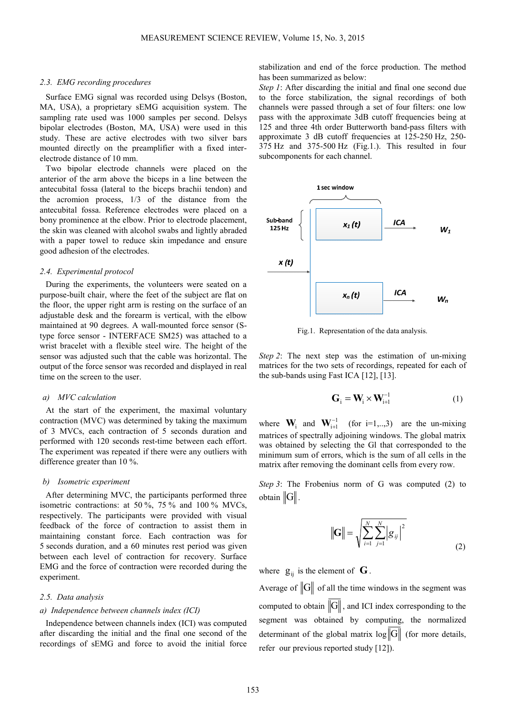## *2.3. EMG recording procedures*

Surface EMG signal was recorded using Delsys (Boston, MA, USA), a proprietary sEMG acquisition system. The sampling rate used was 1000 samples per second. Delsys bipolar electrodes (Boston, MA, USA) were used in this study. These are active electrodes with two silver bars mounted directly on the preamplifier with a fixed interelectrode distance of 10 mm.

Two bipolar electrode channels were placed on the anterior of the arm above the biceps in a line between the antecubital fossa (lateral to the biceps brachii tendon) and the acromion process, 1/3 of the distance from the antecubital fossa. Reference electrodes were placed on a bony prominence at the elbow. Prior to electrode placement, the skin was cleaned with alcohol swabs and lightly abraded with a paper towel to reduce skin impedance and ensure good adhesion of the electrodes.

## *2.4. Experimental protocol*

During the experiments, the volunteers were seated on a purpose-built chair, where the feet of the subject are flat on the floor, the upper right arm is resting on the surface of an adjustable desk and the forearm is vertical, with the elbow maintained at 90 degrees. A wall-mounted force sensor (Stype force sensor - INTERFACE SM25) was attached to a wrist bracelet with a flexible steel wire. The height of the sensor was adjusted such that the cable was horizontal. The output of the force sensor was recorded and displayed in real time on the screen to the user.

## *a) MVC calculation*

At the start of the experiment, the maximal voluntary contraction (MVC) was determined by taking the maximum of 3 MVCs, each contraction of 5 seconds duration and performed with 120 seconds rest-time between each effort. The experiment was repeated if there were any outliers with difference greater than 10 %.

#### *b) Isometric experiment*

After determining MVC, the participants performed three isometric contractions: at 50 %, 75 % and 100 % MVCs, respectively. The participants were provided with visual feedback of the force of contraction to assist them in maintaining constant force. Each contraction was for 5 seconds duration, and a 60 minutes rest period was given between each level of contraction for recovery. Surface EMG and the force of contraction were recorded during the experiment.

## *2.5. Data analysis*

# *a) Independence between channels index (ICI)*

Independence between channels index (ICI) was computed after discarding the initial and the final one second of the recordings of sEMG and force to avoid the initial force stabilization and end of the force production. The method has been summarized as below:

*Step 1*: After discarding the initial and final one second due to the force stabilization, the signal recordings of both channels were passed through a set of four filters: one low pass with the approximate 3dB cutoff frequencies being at 125 and three 4th order Butterworth band-pass filters with approximate 3 dB cutoff frequencies at 125-250 Hz, 250- 375 Hz and 375-500 Hz (Fig.1.). This resulted in four subcomponents for each channel.



Fig.1. Representation of the data analysis.

*Step 2*: The next step was the estimation of un-mixing matrices for the two sets of recordings, repeated for each of the sub-bands using Fast ICA [12], [13].

$$
\mathbf{G}_{i} = \mathbf{W}_{i} \times \mathbf{W}_{i+1}^{-1} \tag{1}
$$

where  $\mathbf{W}_i$  and  $\mathbf{W}_{i+1}^{-1}$  (for i=1,...,3) are the un-mixing matrices of spectrally adjoining windows. The global matrix was obtained by selecting the Gl that corresponded to the minimum sum of errors, which is the sum of all cells in the matrix after removing the dominant cells from every row.

*Step 3*: The Frobenius norm of G was computed (2) to  $obtain$   $\|G\|$ 

$$
\|\mathbf{G}\| = \sqrt{\sum_{i=1}^{N} \sum_{j=1}^{N} |g_{ij}|^2}
$$
 (2)

where  $g_{ii}$  is the element of  $\bf{G}$ .

Average of  $\|G\|$  of all the time windows in the segment was computed to obtain  $\|G\|$ , and ICI index corresponding to the segment was obtained by computing, the normalized determinant of the global matrix  $\log ||G||$  (for more details, refer our previous reported study [12]).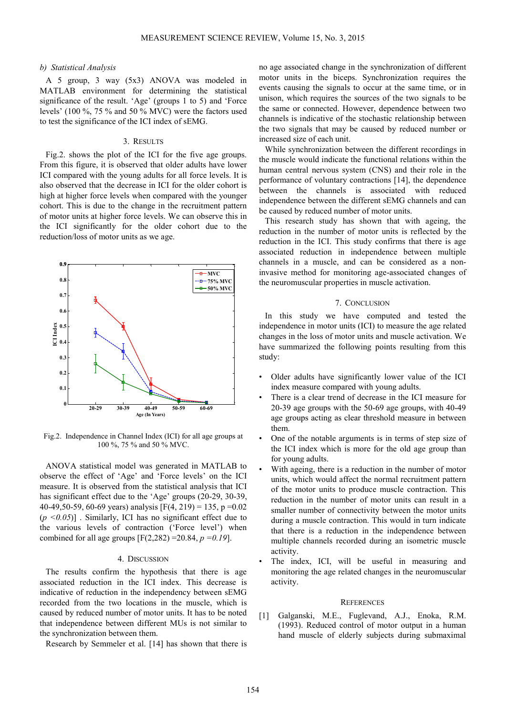## *b) Statistical Analysis*

A 5 group, 3 way (5x3) ANOVA was modeled in MATLAB environment for determining the statistical significance of the result. 'Age' (groups 1 to 5) and 'Force levels' (100 %, 75 % and 50 % MVC) were the factors used to test the significance of the ICI index of sEMG.

#### 3. RESULTS

Fig.2. shows the plot of the ICI for the five age groups. From this figure, it is observed that older adults have lower ICI compared with the young adults for all force levels. It is also observed that the decrease in ICI for the older cohort is high at higher force levels when compared with the younger cohort. This is due to the change in the recruitment pattern of motor units at higher force levels. We can observe this in the ICI significantly for the older cohort due to the reduction/loss of motor units as we age.



Fig.2. Independence in Channel Index (ICI) for all age groups at 100 %, 75 % and 50 % MVC.

ANOVA statistical model was generated in MATLAB to observe the effect of 'Age' and 'Force levels' on the ICI measure. It is observed from the statistical analysis that ICI has significant effect due to the 'Age' groups (20-29, 30-39, 40-49,50-59, 60-69 years) analysis  $[F(4, 219) = 135, p = 0.02]$  $(p \le 0.05)$ ]. Similarly, ICI has no significant effect due to the various levels of contraction ('Force level') when combined for all age groups  $[F(2,282) = 20.84, p = 0.19]$ .

## 4. DISCUSSION

The results confirm the hypothesis that there is age associated reduction in the ICI index. This decrease is indicative of reduction in the independency between sEMG recorded from the two locations in the muscle, which is caused by reduced number of motor units. It has to be noted that independence between different MUs is not similar to the synchronization between them.

Research by Semmeler et al. [14] has shown that there is

no age associated change in the synchronization of different motor units in the biceps. Synchronization requires the events causing the signals to occur at the same time, or in unison, which requires the sources of the two signals to be the same or connected. However, dependence between two channels is indicative of the stochastic relationship between the two signals that may be caused by reduced number or increased size of each unit.

While synchronization between the different recordings in the muscle would indicate the functional relations within the human central nervous system (CNS) and their role in the performance of voluntary contractions [14], the dependence between the channels is associated with reduced independence between the different sEMG channels and can be caused by reduced number of motor units.

This research study has shown that with ageing, the reduction in the number of motor units is reflected by the reduction in the ICI. This study confirms that there is age associated reduction in independence between multiple channels in a muscle, and can be considered as a noninvasive method for monitoring age-associated changes of the neuromuscular properties in muscle activation.

# 7. CONCLUSION

In this study we have computed and tested the independence in motor units (ICI) to measure the age related changes in the loss of motor units and muscle activation. We have summarized the following points resulting from this study:

- Older adults have significantly lower value of the ICI index measure compared with young adults.
- There is a clear trend of decrease in the ICI measure for 20-39 age groups with the 50-69 age groups, with 40-49 age groups acting as clear threshold measure in between them.
- One of the notable arguments is in terms of step size of the ICI index which is more for the old age group than for young adults.
- With ageing, there is a reduction in the number of motor units, which would affect the normal recruitment pattern of the motor units to produce muscle contraction. This reduction in the number of motor units can result in a smaller number of connectivity between the motor units during a muscle contraction. This would in turn indicate that there is a reduction in the independence between multiple channels recorded during an isometric muscle activity.
- The index, ICI, will be useful in measuring and monitoring the age related changes in the neuromuscular activity.

#### **REFERENCES**

[1] Galganski, M.E., Fuglevand, A.J., Enoka, R.M. (1993). Reduced control of motor output in a human hand muscle of elderly subjects during submaximal